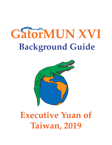# GatorMUN XVI **Background Guide**



# **Executive Yuan of Taiwan, 2019**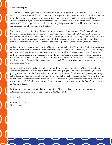Esteemed Delegates,

2

I am proud to welcome you all to the Executive Yuan of Taiwan committee, and to GatorMUN XVI as a whole. My name is Charles Sherwood, and I am a third-year Chinese major here at UF. I have been involved in Model UN for over four years and have previously served as a crisis staffer in the Court of Casimir IV at GatorMUN XIV, and as the director for the United Nations Development Programme committee at GatorMUN XV. I hope that every delegate attending this year's conference will have as enriching an experience as I have had staffing and directing.

I became interested in directing a Taiwan committee soon after discussions of a US-China trade war began to dominate the news. It's clear to see that, despite future uncertainty, US-China relations and the complicated problems that define them will be a critical topic, if not *the* critical topic, in future international relations. While there has been much stir about trade imbalances in North Korea and the South China Sea, it is my firm belief that Taiwan will be the issue that most impacts US-China relations, for better or worse.

As I sit writing this letter from deep within China, I find that calling the "Taiwan issue" a thorny one is very much an understatement. From the deep scars created by the Opium Wars all the way to the 21st-century emergence of China, Taiwan's current predicament is tied closely to China's modern historical trajectory as the greatest challenger to US hegemony. While Taiwan was taped over as an issue for many years after China's rapprochement with the US in the 1970s, recent tensions in US-China tensions, along with increased incidents between Taiwan and mainland China, have made Taiwan rise again as a high-profile issue in international relations.

At the same time, it is important to understand that Taiwan is much more than an "issue." It is a vibrant community of some 23 million people that, despite its being caught between two superpowers, has been paving its own way into the future. While the committee will have its fair share of high-power politicking, it is the Executive Yuan's responsibility to these 23 million that will define the committee. While much will be said and done in committee about threats to Taiwan's independence, the Executive Yuan must also ensure that the society it's defending maintains its democratic and economic vibrancy in the face of both external *and* internal threats.

**Position papers will not be required for this committee.** Please email any questions you may have to gatormun@gmail.com. I hope to see you all at GatorMUN XVI!

Best of luck,

Charles Sherwood Crisis Director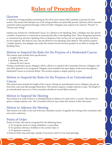# **Rules of Procedure**

# Quorum

A majority of voting members answering to the roll at each session shall constitute a quorum for that session. This means that half plus one of all voting members are physically present. Quorum will be assumed consistent unless questioned through a Point of Order. Delegates may request to be noted as "Present" or "Present and Voting."

ompany any motion for a Moderated Caucus. In a Motion to Set Speaking Time, a delegate may also specify a number of questions or comments to automatically affix to the Speaking Time. These designated questions or comments may also have Speaking Time or Response Time (in the case of a question) limits, but these are not required. The Director may rule any Motion to Set Speaking Time dilatory. This motion requires a simple majority. Any delegate may make this motion between formal speakers in an effort to change the Speaking Time.

# Motion to Suspend the Rules for the Purpose of a Moderated Caucus

This motion must include three specifications

- a. Length of the Caucus
- b. Speaking Time. and
- c. Reason for the Caucus

During a moderated caucus, delegates will be called on to speak by the Committee Director. Delegates will raise their placards to be recognized. Delegates must maintain the same degree of decorum throughout a Moderated Caucus as in formal debate. This motion requires a simple majority to pass.

# Motion to Suspend the Rules for the Purpose of an Unmoderated Caucus

This motion must include the length of the Caucus. During an unmoderated caucus, delegates may get up from their seats and talk amongst themselves. This motion requires a simple majority to pass. The length of an unmoderated caucus in a Crisis committee should not exceed fifteen minutes.

### Motion to Suspend the Meeting

This motion is in order if there is a scheduled break in debate to be observed (i.e. Lunch). This motion requires a simple majority vote. The Committee Director may refuse this motion at their discretion.

# Motion to Adjourn the Meeting

This motion is in order at the end of the last committee session. It signifies the closing of the committee until next year's conference.

## Points of Order

Points of Order will only be recognized for the following items:

- a) To recognize errors in voting, tabulation, or procedure,
- b) To question relevance of debate to the current Topic or
- c) To question a quorum.

A Point of Order may interrupt a speaker if necessary and it is to be used sparingly.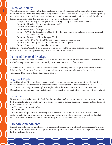### Points of Inquiry

When there is no discussion on the floor, a delegate may direct a question to the Committee Director. Any question directed to another delegate may only be asked immediately after the delegate has finished speaking on a substantive matter. A delegate that declines to respond to a question after a formal speech forfeits any further questioning time. The question must conform to the following format:

Delegate from Country A raises placard to be recognized by the Committee Director.

Committee Director: "To what point do you rise?"

Country A: "Point of Inquiry."

Committee Director: "State your Point."

Country A: "Will the delegate from Country B (who must have just concluded a substantive speech) yield to a question?"

Committee Director: "Will the Delegate Yield?"

Country B: "I will" or "I will not" (if not, return to the next business item)

Country A asks their question (it must not be a rhetorical question.)

Country B may choose to respond or to decline.

If the Delegate from Country B does not yield to or chooses not to answer a question from Country A, then he/she yields all remaining questioning time to the Committee Director.

### Points of Personal Privilege

Points of personal privilege are used to request information or clarification and conduct all other business of the body except Motions or Points specifically mentioned in the Rules of Procedure.

Please note: The Director may refuse to recognize Points of Order, Points of Inquiry or Points of Personal Privilege if the Committee Director believes the decorum and restraint inherent in the exercise has been violated, or if the point is deemed dilatory in nature.

## Rights of Reply

At the Committee Director's discretion, any member nation or observer may be granted a Right of Reply to answer serious insults directed at the dignity of the delegate present. The Director has the ABSOLUTE AUTHORITY to accept or reject Rights of Reply, and the decision IS NOT SUBJECT TO APPEAL. Delegates who feel they are being treated unfairly may take their complaint to any member of the Secretariat.

### **Directives**

Directives act as a replacement for Draft Resolutions when in Crisis committees, and are the actions that the body decides to take as a whole. Directives are not required to contain operative or preambulatory clauses. A directive should contain:

a. The name(s) of the author(s),

b. A title, and

 c. A number of signatories/sponsors signatures' necessary to introduce, determined by the Director A simple majority vote is required to introduce a directive, and multiple directives may be introduced at once. Press releases produced on behalf of the body must also be voted on as Directives.

# Friendly Amendments

Friendly Amendments are any changes to a formally introduced Directive that *all* Sponsors agree to in writing. The Committee Director must approve the Friendly Amendment and confirm each Sponsor's agreement both verbally and in writing.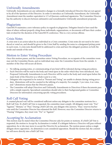Unfriendly Amendments<br>Unfriendly Amendments are any substantive changes to a formally introduced Directive that are not agreed to by all of the Sponsors of the Directive. In order to introduce an Unfriendly Amendment, the Unfriendly Amendment must the number equivalent to 1/3 of Quorum confirmed signatories. The Committee Director has the authority to discern between substantive and nonsubstantive Unfriendly amendment proposals.

# Plagiarism

GatorMUN maintains a zero-tolerance policy in regards to plagiarism. Delegates found to have used the ideas of others without properly citing those individuals, organizations, or documents will have their credentials revoked for the duration of the GatorMUN conference. This is a very serious offense.

# Crisis Notes

A crisis note is an action taken by an individual in a Crisis committee. Crisis notes do not need to be introduced or voted on, and should be given to the Crisis Staff by sending the notes to a designated pickup point in each room. A crisis note should both be addressed to crisis and have the delegate's position on both the inside and outside of the note.

# Motion to Enter Voting Procedure

Once this motion passes, and the committee enters Voting Procedure, no occupants of the committee room may exit the Committee Room, and no individual may enter the Committee Room from the outside. A member of the Dias will secure all doors.

- No talking, passing notes, or communicating of any kind will be tolerated during voting procedures.
- Each Directive will be read to the body and voted upon in the order which they were introduced. Any Proposed Unfriendly Amendments to each Directive will be read to the body and voted upon before the main body of the Directive as a whole is put to a vote.
- Delegates who requested to be noted as "Present and Voting" are unable to abstain during voting procedure. Abstentions will not be counted in the tallying of a majority. For example, 5 yes votes, 4 no votes, and 7 abstentions means that the Directive passes.
- The Committee will adopt Directives and Unfriendly Amendments to Directives if these documents pass with a simple majority. Specialized committees should refer to their background guides or Committee Directors for information concerning specific voting procedures.

# Roll Call Voting

A counted placard vote will be considered sufficient unless any delegate to the committee motions for a Roll Call Vote. If a Roll Call Vote is requested, the committee must comply. All delegates must vote: "For," "Against," "Abstain," or "Pass." During a Roll Call vote, any delegate who answers, "Pass," reserves his/her vote until the Committee Director has exhausted the Roll. However, once the Committee Director returns to "Passing" Delegates, they must vote: "For" or "Against."

# Accepting by Acclamation

This motion may be stated when the Committee Director asks for points or motions. If a Roll Call Vote is requested, the motion to Accept by Acclamation is voided. If a delegate believes a Directive will pass without opposition, he or she may move to accept the Directive by acclamation. The motion passes unless a single delegate shows opposition. An abstention is not considered opposition. Should the motion fail, the committee will move directly into a Roll Call Vote.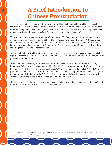# **A Brief Introduction to Chinese Pronunciation**

6

This committee is focused on the Chinese-speaking world and delegates will inevitably have to deal with various Chinese names while in committee. Thus, it would be useful for delegates to understand the basics of pronouncing these names to avoid potential confusion, especially in cases where they might encounter different spellings of the same name (Cai Yingwen vs. Tsai Ing-wen, for example).

There are two primary ways to transliterate Chinese words. The first, more popular system is the *Hanyu Pinyin* system used by the People's Republic of China. The second system is the older *Wade-Giles* system, which is the most common form used in Taiwan. Committee will operate using a mix of both. Pinyin will be used for names relating to mainland China, while Wade-Giles will be used for names relating to Taiwan, including the names of delegates themselves.

For Hanyu Pinyin, the trickiest letters to pronounce are as follows: *zh-* is pronounced similar to English *j-, x*is pronounced similar to *sh*, *q* is pronounced similar to *ch, z-* is pronounced similar to *ds* in *'seeds',* and *c-* is pronounced similar to *ts* in *'cats'*. 1

Wade-Giles, sadly, has many more tricks to it and at times is inconsistent. The most important things to know are as follows: usually *p-* is pronounced like English "*b*" while *p'-* is pronounced *"p"*, *ch-* is pronounced like English "*j*" while *ch'-* is pronounced like English "*ch"*, *k-* is pronounced like English "*g"* while *k'-* is pronounced like English "*k"*, *t-* is pronounced like English "*d"* while *t'-* is pronounced like English *"t"*, and *hs-* is pronounced similar to English "*sh".* Sometimes common words have their apostrophes dropped. For example, T'aiwan and T'aipei are usually spelled as Taiwan and Taipei.

Chinese names are written with family name first, personal name last. So, for example, Tsai Ing-wen's family name is Tsai, so she would be addressed as "President Tsai."

1 http://www.cs.cmu.edu/~zhuxj/readpinyin.html, for even more on pronouncing Pinyin: https://resources.allsetlearning. com/chinese/pronunciation/Pinyin\_quick\_start\_guide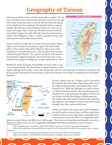# **Geography of Taiwan**

Taiwan is an island of some 12,456 square miles, roughly 1/5th the size of Florida. It was created at the end of the most recent Ice Age when water swept into what is now the Taiwan Strait and separated the island from the mainland. The island of Taiwan is approximately 100 miles away from mainland China, as is clear on any map of the region, but it is also just 60 miles from the southernmost island of Japan and only 100 miles from the northernmost island of the Philippines. Thus, it could be said that Taiwan is the central point between these three nations.

Taiwan itself can be split into two main areas, the western plains region and the eastern mountainous region. The wide, fertile plains of the western third of the island are where most of the population is concentrated, and it is also the place that was first colonized by the Chinese.<sup>2</sup> The eastern two-thirds of the island is dominated by rugged mountains, and, for the most part, it was ruled by loose groups of indigenous peoples until as late as 1930.<sup>3</sup>



7

Besides the island of Taiwan, the Republic of China (ROC) rules a few outlying islands. The Pescadores, or Penghu Islands, are the

largest outlying cluster of the country, but Taiwan also rules two island groups, the Kinmen and Matsu, that lie just off the mainland of China and have, in previous decades, been subject to shelling from the People's Republic.



Taiwan's capital is the city of Taipei, and it is located on the northern tip of the island. Taipei forms the core of the Taipei-Keelung greater metropolitan area, which includes New T'aipei and Keelung City, and it is home to a third of Taiwan's citizens. The second largest metropolitan area is the Taichung-Changhua in north-central Taiwan, and the third largest is Kaohsiung near the southern tip of the island. Taiwan's major railroads and highways run along the western coast of the island through these three metropolitan areas.

Taiwan is located at the intersection of the Philippine Sea and Eurasian tectonic plates, and thus experiences frequent seismic activity. The largest earthquake in recent memory occured in 1999; a 7.6 magnitude earth-

quake in central Taiwan that killed over 2,400 people.4 The most recent significant earthquake occurred in February of 2018, and it was a 6.4 magnitude earthquake that killed nine people in eastern Taiwan.<sup>5</sup>

2 https://english.ey.gov.tw/cp.aspx?n=1082F2A7077508A4 A great intro to Taiwan geography/demography

3 https://www.culturalsurvival.org/publications/cultural-survival-quarterly/first-nations-taiwan-special-report-taiwansindigenous

- 4 https://www.history.com/topics/natural-disasters-and-environment/1999-taiwan-earthquake
- 5 https://www.nytimes.com/2018/02/07/world/asia/taiwan-earthquake-search-survivors.html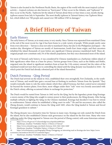Taiwan is also located in the Northwest Pacific Basin, the region of the world with the most tropical cyclone activity— tropical cyclones are also known as "hurricanes" if they occur in the Atlantic, and "typhoons" if they occur in the Pacific. Typhoons hit the island of Taiwan about three or four times a year, mostly during typhoon season from July to September. The most deadly typhoon in Taiwan's history was Typhoon Morakot, which killed over 700 people and caused over 300 million USD in damages.<sup>6</sup>

# **A Brief History of Taiwan**

# Early History

8

The early history of Taiwan, as in many areas, is very murky. Since Taiwan was separated from mainland China at the end of the most recent Ice Age it has been home to a wide variety of people. While people surely came from every direction— Taiwan is close not only to mainland China, but also to the Philippines and Japan— the modern-day Aborigines of Taiwan are mostly of Austronesian, South-East Asian origin, and their ancestors inhabited the island thousands of years before any significant Chinese presence manifested itself. These aboriginal people now constitute only 2% of the island's population, but they once dominated most of the island.

For most of Taiwan's early history, it was considered by Chinese mainlanders as a barbarian-ridden island of little significance other than as a base for piracy. Various groups from China, such as the Hakka and Hoklo, migrated onto the island in significant numbers from at least the 11th century onward, but the rulers of the mainland would not turn their eyes to controlling the island until the Qing dynasty was founded in 1644— by which point the Dutch had already colonized part of the island themselves.<sup>7</sup>

## Dutch Formosa - Qing Period

The Dutch had arrived on the island in 1622, established their own stronghold, Fort Zeelandia, in the southwest of Taiwan, and would later gain a second base at Keelung in northern Taiwan from the Spanish.8 They would eventually claim to rule the entire island, which they called Formosa, but their control never extended far beyond the western plains. Even there, most villages under their "rule" were very loosely associated with the Dutch colony, offering occasional tribute in exchange for protection.<sup>9</sup>

The Dutch would be ousted from Taiwan in 1662 not by the Qing, but by the legendary pirate-king Koxinga: a sworn enemy of the Qing who sought to restore power to their predecessors, the Ming dynasty. After facing multiple setbacks in fighting the Qing on the Chinese mainland, Koxinga had decided it was best to retreat to southwestern Taiwan where he established a Ming court-in-exile.10 He and his successors, also called the Zheng dynasty, would continue to harass the Qing until 1683, when the Qing landed in Taiwan and forced Koxinga's grandson to submit.<sup>11</sup>

The Zheng dynasty was a formative time for Taiwan in many ways. Koxinga not only ousted the Dutch from the island, but he also established Chinese-style governance on the island for the first time. Many who were suffering under the Qing migrated to Taiwan over the period of Zheng control, with some historians estimat-

6 https://www.cwb.gov.tw/V7e/knowledge/encyclopedia/ty000.htm

7 Manthorpe, Jonathan "Forbidden Nation: A History of Taiwan"

- 8 https://www.colonialvoyage.com/dutch-formosa-1624-1662-1664-1668/
- 9 Manthorpe, Jonathan "Forbidden Nation: A History of Taiwan"
- 10 https://www.britannica.com/biography/Zheng-Chenggong, an interesting read on Koxinga also here: https://www.
- economist.com/analects/2012/07/27/contested-legacy
- 11 Manthorpe, Jonathan "Forbidden Nation: A History of Taiwan"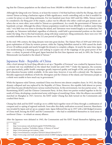ing that the Chinese population on the island rose from 100,000 to 400,000 over the two-decade span.<sup>12</sup>

Although the Qing took over Taiwan, or at least the western 1/3rd that had been ruled by the Zhengs, they still viewed Taiwan as being a barbarian region of little significance, worth controlling only so that it wouldn't be a center for piracy or anti-Qing sentiments. For two hundred years from 1683 until the 1880s, Taiwan would be considered a far-flung part of the empire, a place run by officials who either could not gain position anywhere else or, more often, were exiled to Taiwan as a punishment. As a result, the government of Taiwan was hopelessly corrupt. Although the ethnic Chinese population would rise from 400,000 to 2 million under Qing rule,13 very little was ever done to develop the island, and Taiwanese were treated largely as an underclass. For example, no Taiwanese individual, regardless of ethnicity, could hold a governmental position on the island under the Qing. Due to this bad treatment, along with deep-seated pro-Ming sentiments, there were over 100 recorded rebellions in Taiwan over the 212 year period of Qing rule.<sup>14</sup>

9

In the mid-19th century, the Qing dynasty went into great decline. The Opium Wars of 1839 and 1856 led to great exploitation of China by western powers, while the Taiping Rebellion started in 1850 caused the death of over 20 million people and nearly brought the dynasty to complete collapse. At nearly the same time, Japan was modernizing at a stunning pace and seeking to acquire one of the trappings of any great power of the time—a colony. In pursuit of this goal, Japan launched the first Sino-Japanese war and, in 1895, the Treaty of Shimonoseki was handed to the island of Taiwan.15

### Japanese Rule - Republic of China

After a brief attempt by local Qing officials to set up a "Republic of Formosa" was crushed by Japanese forces, a colonial rule was established on the island that would last until 1945.<sup>16</sup> Under the Japanese, the economy grew spectacularly, public health campaigns greatly improved quality and length of life, and primary-school level education became widely available. At the same time, however, it was still a colonial rule. The Japanese bloodily suppressed rebellions of both the Aborigines and the Chinese of the island, and Taiwanese people as a whole were unable to have much say in government.<sup>17</sup>

While the Japanese ruled Taiwan, mainland China was thrown into almost complete chaos. In 1912, the Qing dynasty collapsed and was replaced by the Republic of China. However, this republic held almost no power and China became divided between various warlord factions. In this environment, two key parties arose— the Kuomintang (KMT) and the Chinese Communist Party. At first, these two parties worked together in the far south of China, developing a modernized army with hopes of reunifying China. After the alliance successfully marched on Shanghai in 1927, however, the KMT under Chiang Kai-shek turned on the Communists and crushed their forces.

Chiang Kai-shek and his KMT would go on to cobble back together most of China through a combination of conquest and co-opting of regional warlords. Soon after this shaky unification occurred, however, Manchuria was invaded by Japan and set up as a puppet state. Japan followed this up in 1937 with a full-fledged invasion of China itself, forcing the KMT and the Communists— who had re-established themselves in rural areas of northwest China— to rehash an uneasy alliance.

After the Japanese were defeated in 1945, the Communists and the KMT found themselves fighting anew.

<sup>12</sup> Ibid.

<sup>13</sup> http://www.taiwan-info.de/html/english/TWPAPERe.htm

<sup>14</sup> Manthorpe, Jonathan "Forbidden Nation: A History of Taiwan"

<sup>15</sup> https://www.taiwan.gov.tw/content\_3.php

<sup>16</sup> https://www.britannica.com/place/Taiwan/Cultural-life#ref337517

<sup>17</sup> https://www.scmp.com/week-asia/opinion/article/2128067/judging-empires-was-japanese-rule-taiwan-benevolent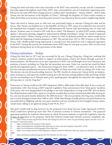Chiang Kai-shek and many of his close associates in the KMT were extremely corrupt, and the Communists had wide support throughout rural China. KMT cities, surrounded by seas of Communist-supporting areas, fell one by one until 1949 when Chiang and over 2 million other mainlanders— mainly soldiers— fled to make Taiwan into the last bastion of the Republic of China.18 Although the Republic of China would continue to claim all of China as its territory, from this point onward it was reduced to Taiwan and its neighboring islands.

Those who lived in Taiwan prior to 1949 were not particularly happy to welcome Chiang Kai-shek and his forces. After Taiwan was handed over to the Republic of China in 1945, many of its industries were moved to the mainland and a bungled, corrupt KMT administration left Taiwan with skyrocketing rates of crime and disease. Tensions came to a head in 1947 with the so-called "228 Massacre" in which KMT armies, retaliating against a Taiwanese uprising, engaged in indiscriminate killings intending to "purge" the island of supposed communist rebels.19 Before Chiang arrived in Taiwan in 1949, he declared martial law, which would not be lifted until the beginning of democratization in 1987. This period from 1947 to 1987 is known as the White Terror, with 140,000 people being imprisoned or executed over this period for real or supposed opposition to the KMT. During this period, the mainlander-heavy KMT kept an iron grip on power with very few local Taiwanese having much say in the governance of the island.

### Democratization - Today

10

Chiang Kai-shek died in 1975 and was succeeded by his son, Chiang Ching-kuo. Ching-kuo, realizing that western countries would be less likely to support an authoritarian country, led Taiwan through a process of democratization. He allowed for more open opposition to KMT rule and brought more local Taiwanese into positions of power, including Lee Teng-hui, his immediate successor. Under Lee, martial law would be lifted, and the first opposition party— the Democratic Progressive Party (DPP)— was allowed to form. In 1996, the first free and open presidential elections in the Republic of China were held, with Lee taking 54% of the vote. The election was not all smooth sailing, however. The PRC, fearful of a democratic Taiwan led by an independence-leaning Lee, had spent the months leading up to the election running military drills and firing missiles into the surrounding area of Taiwan's major ports, sparking panic throughout the island but also supposedly driving many to vote for Teng-hui.<sup>20</sup>

Democracy in Taiwan would see the DPP ruling from 2000 to 2008 under Chen Shui-bian. It was a rocky administration, with Chen facing a KMT-majority Legislative Yuan and pressures from "deep-green" members of his party, who were disappointed in his pledge to not seek independence as long as the PRC did not attack. His administration ended with a spate of corruption scandals that saw him arrested and jailed after leaving office, and saw his party heavily defeated in the 2008 elections.21 The new president, Ma Ying-jeou, would suffer just as much during his tenure from 2008 to 2016. While Ma's Beijing-friendly policies increased business, he was embroiled in infighting with his own party members and was considered to have bungled various controversial issues, falling to an approval rating of only 9% by 2013.<sup>22</sup>

Ma's grave would truly be dug, however, by the proposed Cross-Strait Services Trade Agreement (CSSTA), which would have opened up more than 70% of Taiwan's economy to Chinese investment.<sup>23</sup> The proposed agreement sparked the Sunflower Movement, in which Taiwanese students occupied the Legislative Yuan for 23 days in opposition to the proposal, which they believed would make Taiwan's economy completely sub-

18 https://china-journal.org/2018/02/26/why-did-chiang-kai-shek-lose-china-the-guomindang-regime-and-the-victory-ofthe-chinese-communist-party/

- 19 https://sentinel.tw/228-massacre-birth-nation/
- 20 https://nationalinterest.org/feature/the-third-taiwan-strait-crisis-the-forgotten-showdown-19742
- 21 https://www.britannica.com/biography/Chen-Shui-bian
- 22 https://www.scmp.com/news/china/diplomacy-defence/article/2144825/hes-back-ma-ying-jeou-rebuilds-his-popularitymight

23 https://daybreak.newbloommag.net/2017/07/20/what-was-the-cssta/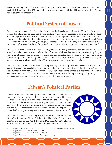servient to Beijing. The CSSTA was eventually torn up, but in the aftermath of the movement— which had received DPP support— the KMT suffered massive electoral loses in 2014 and 2016, leading to the DPP-controlled government of today.<sup>24</sup>

# **Political System of Taiwan**

The current government of the Republic of China has five branches— the Executive Yuan, Legislative Yuan, Judicial Yuan, Examination Yuan and the Control Yuan. The Control Yuan is responsible for monitoring other branches of government and has the power to investigate and impeach officials, while the Examination Yuan is responsible for validating the qualification of civil servants. The Executive, Legislative, and Judicial Yuans are the more important of the five, and roughly correspond in function and duty to the same branches in the government of the USA. The head of state for the ROC, the president, is separate from the five branches.25

The Legislative Yuan is unicameral with 113 seats, with 73 seats being determined by a first-past-the-post vote in single-member constituencies similar to the US's system, while another 34 seats are distributed by the percent each party received in the nationwide vote share, and six further seats are specially elected by Aboriginal Taiwanese population. Like the legislative branch in the US, the Legislative Yuan is responsible for passing new laws on a national level and deciding how Taiwan's governmental budget should be allocated.

The Executive Yuan, which committee will be representing, is headed by a Premier and consists of twelve cabinet ministers and various chairpersons, along with the government organizations that they head. There are also a number of "Ministers Without Portfolio" who, despite not holding cabinet-level positions, serve as equal members of the cabinet. The Executive Yuan as a whole is responsible for implementing policy, though it can also recommend policy of its own to be approved by the Legislative Yuan.

# **Taiwan's Political Parties**

Taiwan currently has two main parties, the Kuomintang (KMT) and the Democratic Progressive Party (DPP). These two parties each lead their own coalition that includes other like-minded parties, with the DPP leading the "Pan-Green" coalition and the KMT leading the "Pan-Blue" coalition, both named for the color most associated with the respective parties. Clashes between the two parties have often become quite heated in the past to the extent that brawling in the Legislative Yuan is a near-regular occurance.<sup>26</sup>

The KMT was founded in 1911 by Sun Yat-sen in the lead up to the creation of the Republic of China.27 It led the Republic of China's government from the time that Chiang Kai-shek reunified China in 1928 until it lost the presidential election of 2000. The KMT nowadays are a center-right party

<sup>24</sup> https://thediplomat.com/2018/07/brian-hioe-the-sunflower-movement-4-years-later/

<sup>25</sup> https://www.taiwan.gov.tw/content\_4.php

<sup>26</sup> https://www.bbc.com/news/world-asia-40640043

<sup>27</sup> https://alphahistory.com/chineserevolution/guomindang/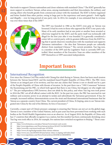that tends to support Chinese nationalism and closer relations with mainland China.<sup>28</sup> The KMT generally has more support in northern Taiwan, urban areas, among mainlanders and their descendants, the military, and among others who benefit greatly from commercial contact with the mainland. The KMT is better organized and better funded than other parties, owing in large part to the experience and assets gained— both legally and illegally— over its long period of one-party rule. In 2014, for example, it was estimated that its revenue was over three times that of the DPP.29



12

The DPP was founded in 1986 as the KMT's iron grip on Taiwan was loosened. It had its roots in those who opposed the KMT's one-party rule. Many of its early members had at one point or another been arrested or otherwise targeted by the KMT, and the party itself was technically still illegal for the first year after it was founded. It is generally considered a center-left or centrist party, with its greatest difference from the KMT being that it openly disavows reunification with the mainland and supports Taiwanese nationalism— the idea that Taiwanese people are culturally distinct from mainland Chinese.<sup>30</sup> The current president, Tsai Ing-wen, is a member of the DPP and the Legislative Yuan is currently DPP-controlled. Most members of the Executive Yuan are either members of the DPP themselves or DPP-associated independents.

# **Important Issues**

### International Recognition

Ever since the Chinese Civil War ended with Chiang Kai-shek fleeing to Taiwan, there has been much tension between the Taiwan-based ROC and the mainland-based People's Republic of China (PRC). The PRC views Taiwan as an integral part of its territory, and has met any claims that Taiwan is not or should not be a part of the People's Republic of China with threats of invasion. In the past there was a "1992 Consensus" between the Kuomintang and the PRC, in which both agreed that there is one China, but disagree on who might rule it.<sup>31</sup> The pro-independence DPP, however, does not abide by this policy, and when Tsai Ing-wen took power in 2016 the PRC cut off all official contact with the ROC. In the past two years, the PRC has exercised its vast military and economic power in an attempt to isolate and subordinate the Taiwanese government. It has, for example, increased military demonstrations across the strait and threatened international businesses that list Taiwan as a separate country from China. The current president of China, Xi Jinping, aims to see Taiwan integrated into China by the end of his lifetime, by force if necessary.<sup>32</sup>

Currently, a major part of China's pressure campaign is ensuring that Taiwan can not act on the global stage. Taiwan is not a member of the United Nations, and in past years has been prevented from working with such bodies as the World Health Organization even as an observer. As of August 2018, the Republic of China only has 17 countries that officially recognize it as a nation, but this number has been continuously shrinking; since Tsai Ing-wen took office in 2016, for example, five nations have switched recognition to Beijing.<sup>33</sup> Those coun-

- 29 http://www.taipeitimes.com/News/taiwan/archives/2014/07/24/2003595820
- 30 https://www.bbc.com/news/world-asia-34729538
- 31 https://www.cfr.org/backgrounder/china-taiwan-relations
- 32 https://www.cnn.com/2018/03/20/asia/taiwan-china-xi-jinping-intl/index.html
- 33 http://www.taipeitimes.com/News/front/archives/2018/08/22/2003698956
- 

<sup>28</sup> https://www.britannica.com/place/Taiwan/Government-and-society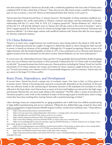tries that remain attached to Taiwan are all small, with a combined population only twice that of Taiwan and a combined GDP of only a third that of Taiwan.<sup>34</sup> Thus, they do not offer much except a small bit of legitimacy and, on rare occasions, a voice for Taiwan in international bodies that Taiwan is not a part of.

13

Taiwan does have friends beyond these 17 nations, however. The Republic of China maintains unofficial consulates throughout the world, particularly in Western countries and Japan, and has maintained a complex relationship with the U.S. since 1949. In 1979, U.S. Congress passed the "Taiwan Relations Act" which stated that the U.S. will provide defensive arms to Taiwan and will also assist in the event of invasion,<sup>35</sup> and in 2018, Congress passed the Taiwan Travel Act which encourages high-level interaction between Taiwanese and American officials.36 It is these larger nations with unofficial relations with Taiwan that offer the most support for Taiwan's continued existence.

### US-China Relations

Taiwan is, in many ways, caught between two world powers. Since being exiled to the island in 1949, the Republic of China's government has sought US support to defend the island or, when Chiang Kai-shek was still in power, to launch an invasion of the mainland. Although the US stopped recognizing Taiwan as part of its rapprochement with the People's Republic of China in 1972, it has continued to act as Taiwan's main deterrent against invasion from the mainland (see the above section Taiwan Relations Act for more information).<sup>37</sup>

In recent years, the relationship between China and the US has gradually deteriorated before finally dropping into a new era of distrust and uncertainty in 2018, primarily evidenced by the US-China trade war that began on July 6th.38 Increased tensions have led to some pro-Taiwan policies including the Taiwan Travel Act, but the uncertainty of US-China relations also means uncertainty for those countries caught between the two powers.39 In such uncertainty, over-reliance on the US is potentially dangerous, and if it continues, Taiwan may end up a pawn in the larger US-China conflict.

# Brain Drain, Dependence, and Development

In recent times, Taiwan has faced a unique mix of economic issues. One issue is that, as China grows its economic power, Taiwan is becoming more and more economically dependent on the mainland. In the past this was reflected mostly in the outsourcing of Taiwanese factories to the mainland, but nowadays it is also reflected in the brain drain crisis Taiwan faces as many of its best and brightest are attracted to the high wages and dynamic lifestyle they can more easily obtain in the mainland.<sup>40</sup> The PRC offers a variety of incentives for Taiwanese people to come work on the mainland in hopes of advancing its goal of reunification, and to a large extent they have been working there, leaving Taiwan with a potential shortage of talent.<sup>41</sup>

Labor shortage issues are compounded by an aging population and a shift from low-skilled manufacturing to high-skilled manufacturing and service industries. Filling the low-skilled labor gap created by these dual issues is a population of approximately 680,000 migrant workers, mostly from Southeast Asia.<sup>42</sup> These laborers

- 34 https://international.thenewslens.com/article/96443
- 35 https://www.ait.org.tw/our-relationship/policy-history/key-u-s-foreign-policy-documents-region/taiwan-relations-act/
- 36 https://thediplomat.com/2018/03/the-taiwan-travel-act-in-context/
- 37 https://history.state.gov/milestones/1969-1976/rapprochement-china
- 38 http://www.china-briefing.com/news/2018/09/10/the-us-china-trade-war-a-timeline.html
- 39 https://www.washingtonpost.com/news/monkey-cage/wp/2018/04/30/china-u-s-taiwan-relations-are-in-choppy-watersheres-whats-going-on/?utm\_term=.eb07679a52d0

40 https://www.washingtonpost.com/world/asia\_pacific/taiwan-battles-a-brain-drain-as-china-aims-to-woo-young-talentaway/2018/04/13/338d096e-3940-11e8-af3c-2123715f78df\_story.html?utm\_term=.fbb220f7f643

41 http://time.com/4906162/taiwan-brain-drain-youth-china-jobs-economy/

42 https://international.thenewslens.com/article/102510?utm\_source=2016IndexHot&utm\_medium=internal&utm\_ campaign=hot\_post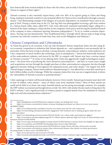have historically been treated unfairly by those who hire them, and recently it has led to protests throughout Taiwan in support of their rights.<sup>43</sup>

Taiwan's economy is also extremely export-heavy, with over 40% of its exports going to China and Hong Kong, making it extremely sensitive to any potential efforts by China to force reunification through economic means.44 One illuminating example of the dangers of economic dependence on mainland China came in August of 2018. During a transit-stop in the US, Tsai Ing-Wen was photographed receiving a gift from workers at a Taiwan-based coffee chain called 85°C Café. Soon afterward, mainland nationalists began calling for a boycott of the chain, leading to a sharp decline in the company's stock prices and forcing the mainland branch of the company to issue a statement rejecting Taiwanese independence.45 To try to combat economic dependence, Tsai Ing-wen has launched the "New Southbound Policy," through which Taiwan seeks to forge strong economic ties with the countries of South-East Asia, such as the Philippines and Malaysia.<sup>46</sup>

### Chinese Competition and Cyberattacks

14

As China has grown as an economy, it has not only threatened Taiwan using brain drain, but also using direct economic competition in industries that Taiwan depends on— and competition is not necessarily fair. In particular, China has been trying to develop a strong domestic semiconductor industry; semiconductors are a key component of much modern day technology, such as smartphones.<sup>47</sup> Taiwan has historically dominated the semiconductor industry, and moves by the PRC to compete with Taiwan may have a serious impact on Taiwan's economy.48 49 In terms of not playing fairly, China has aggressively sought technological acquisitions— the know-how of producing the most advanced semiconductors— and have in recent years sought such acquisitions not just through the straight purchase of other semiconductor companies, but also through aggressive lawsuits, bribing of rival engineers for industrial secrets, and cyber attacks.<sup>50</sup> On August 3rd, 2018, Taiwan's largest company, Taiwan Semiconductor Manufacturing Co., was affected by a virus that caused up to half a billion dollars worth of damage. While the company claims this virus was not a targeted attack, it shows the vulnerability of Taiwan's economy to potential attacks.<sup>51</sup>

Cyber espionage is evident well beyond industry, however. Every month, Taiwan's government must deal with at least 10 million cyber attacks— many of which come from mainland China.<sup>52</sup> Most of these attacks are small and do little to no harm, but major, harmful attacks are becoming increasingly common. For example, the DPP website was hacked and brought down on July 3rd, 2018, with similar threats made to bring down the KMT's website,<sup>53</sup> and a significant body of evidence points to targeted attacks from the mainland on Taiwan's high-tech and telecommunications industries.<sup>54</sup>

- 47 https://www.bloomberg.com/view/articles/2018-04-29/why-can-t-china-make-semiconductors-jglgice5
- 48 https://www.forbes.com/sites/ralphjennings/2017/11/09/an-upstart-upstream-high-tech-sector-in-china-threatens-nowdominant-taiwan/#575d9c2b5930
- 49 https://www.scmp.com/business/global-economy/article/2143625/taiwans-economy-burns-less-brightly-its-tiger-peers
- 50 https://www.nytimes.com/2018/06/22/technology/china-micron-chips-theft.html
- 51 https://www.bloomberg.com/view/articles/2018-08-06/now-maybe-taiwan-will-take-cybersecurity-seriously
- 52 https://www.reuters.com/article/us-taiwan-china-cybersecurity/chinese-cyber-attacks-on-taiwan-governmentbecoming-harder-to-detect-source-idUSKBN1JB17L
- 53 https://www.taiwannews.com.tw/en/news/3473203
- 54 https://researchcenter.paloaltonetworks.com/2018/01/unit42-comnie-continues-target-organizations-east-asia/

<sup>43</sup> https://thediplomat.com/2018/06/taiwans-migrant-workers-are-finding-their-voice/

<sup>44</sup> https://www.reuters.com/article/uk-taiwan-economy-breakingviews/taiwan-not-china-is-its-own-worst-enemyidUSKBN17Q0QL

<sup>45</sup> https://www.whatsonweibo.com/bakery-boycott-over-taiwan-issue-the-85c-cafe-controversy/

<sup>46</sup> https://www.brookings.edu/opinions/taiwans-engagement-with-southeast-asia-is-making-progress-under-the-newsouthbound-policy/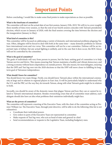# **Important Points**

15

Before concluding, I would like to make some final points to make expectations as clear as possible.

#### **What is the timeframe of committee?**

The committee will start on the actual date of our first session, January 25th, 2019. We will try to cover roughly three months of time every session, so that the end of our fourth session coincides with Taiwan's presidential election, which occurs in January of 2020, with the final session covering the time between the election and the inauguration (January to May).

#### **What kind of committee is this?**

This committee will be focused on addressing a variety of domestic and international problems plaguing Taiwan. Often, delegates will be forced to deal with both at the same time— many domestic problems in Taiwan have international roots and vice versa. This committee will not be a war committee. Defense will be an important topic of debate, but any actual fighting is unlikely, and in the case that it does occur, the ROC forces will not be controlled by the committee.

#### **What is the goal of committee?**

The goals of individuals will vary from person to person, but the basic uniting goal of committee is to help Taiwan survive and thrive. This means ensuring that Taiwan maintains a healthy and vibrant democracy, and a strong economy without heavy dependence on outside powers. This also means, for most delegates, ensuring that the DPP and Tsai Ing-wen win the 2020 elections so that the DPP will move closer to fulfilling its longterm goal of Taiwanese independence.

#### **What should I know for committee?**

You should know two main things. Firstly, you should know Taiwan's place within the international community at large and in relation to regional players in East Asia. It will be particularly helpful to understand why the U.S. and the PRC act the way they do towards Taiwan, along with what Taiwan's goals might be in relation to both.

Secondly, you should be aware of the domestic issues that plague Taiwan and how they can or cannot be related to Taiwan's international situation. Besides overarching crises that all of committee must address, each delegate should also have an idea what problems their ministries individually might face.

#### **What are the powers of committee?**

The committee will represent a meeting of the Executive Yuan, with the chair of the committee acting as Premier William Lai. The Executive Yuan, through joint directive, will be able to do the following (this list is not exhaustive):

- Coordinate their individual powers
- Give orders to parts of the Executive Yuan not represented in committee
- Make requests of Tsai Ing-wen, who acts as head of state and general-in-chief.
- Send recommendations or requests to the Legislative Yuan, including budgetary ones.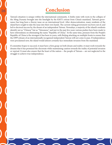# **Conclusion**

16

Taiwan's situation is unique within the international community. A limbo-state with roots in the collapse of the Ming Dynasty brought into the limelight by the KMT's retreat from China's mainland, Taiwan's governance has long been a thorny issue on an international level. After democratization, many residents of the island have sought to take the issue into their own hands. The current ruling government was born out of, and led to electoral success by, the dream of an independent Taiwan. Nowadays, a majority of the island's residents identify not as "Chinese" but as "Taiwanese," and just in the past few years various pushes have been made to have referendums on eliminating the name "Republic of China." At the same time, pressure from the People's Republic of China is the strongest it has been in years, with Beijing attacking on multiple fronts to ensure that the DPP's dream of an internationally recognized independent Taiwan will not come to pass. If independence were proclaimed now, the island would almost certainly face immediate invasion from the mainland.

If committee hopes to succeed, it must have a firm grasp on both dream and reality; it must work towards the dreams that it has promised the electorate while maintaining caution towards the reality of potential invasion or reprisal. It must also ensure that the heart of the nation— the people of Taiwan— are not neglected in the struggle to achieve true independence.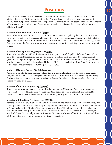# **Positions**

17

The Executive Yuan consists of the leaders of various ministries and councils, as well as various other officials who serve as "Ministers without Portfolio," primarily advisory but in some cases concurrently holding powerful positions of their own. The positions as they stand now are based on the current members of the Executive Yuan. All but one of the ministers are either members of the DPP or Independents who affiliate with the DPP.

#### **Minister of Interior, Hsu Kuo-yung (徐國勇)**

Responsible for home affairs and security, Hsu is in charge of not only policing, but also various smaller government functions such as census taking, monitoring of local elections, and land surveys. Before being tapped to become Minister of Interior in July of 2018, Hsu served first as a DPP legislator in the Legislative Yuan, and then as the Executive Yuan spokesperson— responsible for explaining new policies to the public at large.

#### **Minister of Foreign Affairs, Joseph Wu (吳釗燮)**

Responsible for relations with all foreign countries except the People's Republic of China. Besides official ties with countries that recognize Taiwan, the ministry maintains unofficial ties with various national governments, in part through "Taipei Economic and Cultural Representative Offices" (TECRO) around the world that operate as unofficial consulates. He holds a Ph.D. in political science from Ohio State University, and he has previously headed the Washington, D.C. TECRO.

#### **Minister of National Defense, Yen Teh-fa (嚴德發)**

Responsible for all defense and military affairs, Yen is in charge of making sure Taiwan's defense forces land, sea, and air—are kept at full capability in the face of Chinese pressures. Outside of being a minister, Yen is a retired three-star army general who is most famous for helping lead disaster-relief efforts after a serious Typhoon hit in 2009.

#### **Minister of Finance, Su Jian-rong (許虞哲)**

Responsible for taxation, customs, and running the treasury, the Ministry of Finance also manages stateowned land/property. Minister Sheu received a doctoral degree in economics from Pennsylvania State University, and has spent almost his entire career working his way up in the Ministry of Finance.

#### **Minister of Education, Yeh Jiunn-rong (葉俊榮)**

Responsible for managing public schools and the formulation and implementation of education policy. The Ministry of Education runs a wide variety of programs and institutions, from the various national museums to "Overseas Education Divisions" that assist overseas students. Yeh holds a doctoral degree in law from Yale University and has spent much of his life as a lecturer in various places such as the US, Canada, and mainland China. He originally joined the Executive Yuan as the Minister of Interior in 2016, but in July of 2018 was shifted to take over a vacancy as Minister of Education.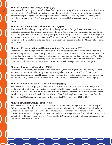#### **Minister of Justice, Tsai Ching-hsiang (**蔡清祥)

18

Responsible for carrying out Taiwan's judicial functions, the Ministry of Justice is also associated with anticorruption efforts. The Ministry of Justice includes the Investigation Bureau, which is Taiwan's domestic counter-intelligence agency. Tsai was tapped to become Minister of Justice in July of 2018 owing to his overall success as director of the Investigation Bureau, most notably his success in busting various drug rings.

#### **Minister of Economic Affairs Shen Jong-chin ( )**

Responsible for formulating policy and laws for industry and trade, foreign direct investment, and intellectual properties. The ministry also manages Taiwan's state-owned companies, including the Taiwan Power Company, which runs the country's power grid. The ministry's main goal is to increase employment and promote investment in critical sectors of Taiwan's economy. Shen Jong-chin has previously held a wide variety of positions related to industrial development, including positions within the Ministry of Economic Affairs itself.

#### **Minister of Transportation and Communications, Wu Hong-mo (吳宏謀)**

Responsible for policy, regulation, and administration of transportation and communications networks, with the exception of the Taipei railway system. This ministry also includes the Central Weather Bureau and the Tourism Bureau, meaning it handles meteorological operations and tourism development. Wu holds a doctorate degree in marine engineering from Sun Yat-sen University, and has previously served as head of the state-owned Taiwan International Ports Corporation, which manages the nation's major ports.

#### **Minister of Labor Hsu Ming-chun (許銘春)**

Responsible for reviewing and implementing labor policies, laws, and regulations. The Ministry of Labor also leads various vocational training programs, manages labor insurance, runs Taiwan's OSHA, and determines the minimum wage. Hsu received her bachelor's degree in law from National Taiwan University and has previously served in various positions in the Kaohsiung City government, including Deputy Mayor.

#### **Minister of Health and Welfare Chen Shi-chung ( )**

Responsible for both managing the public health system and the national welfare system. In regards to public health, the ministry is responsible for the public health system, hospitals, pharmacies, the universal health cares system, and other health-related functions. In regards to welfare, the ministry handles Taiwan's social security system, as well as all of its social work. Chen Shi-chung holds a dentistry degree from the Taipei Medical College and was a director at Taipei Medical University from 2004 to 2017.

#### **Minister of Culture Cheng Li-chun (鄭麗君)**

Responsible for promoting cultural and creative industries and maintaining the National Repository of Cultural Heritage. The Ministry runs a variety of museums and arts centers in Taiwan, along with Cultural Centers in New York, Paris, and Tokyo. It not only supervises Taiwan's popular culture industries— TV, movies, music, etc.— but also promotes the industries by sponsoring shows and festivals both domestic and abroad. Cheng Li-chun gained her master's degree at Paris Nanterre University in France and served in the Legislative Yuan from 2012 to 2016.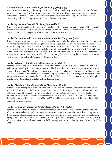#### **Minister of Science and Technology Chen Liang-gee ( )**

Responsible for promoting and funding scientific research and technological adaptation in one of Asia's most tech-heavy countries. Beyond assisting other entities, the ministry runs various science parks and laboratories of its own. Chen has a doctoral degree from National Cheng Kung University in electrical engineering and served as a professor at National Taiwan University.

19

#### Head of Agriculture Council, Lin Tsung-hsien (林聰賢)

Responsible for overseeing agricultural, forestry, fishery, animal husbandry, state-sponsored biotechnical initiatives, and general food affairs. The son of farmers, Lin holds a master's degree from Fo Guang University and was the magistrate of Yilan County from 2009 to 2017.

#### Head of Environmental Protection Administration, Lee Ying-yuan (李應元)

Responsible for Taiwan's environmental policies, regulations, standards, and enforcement, the EPA manages everything from toxic material handling to noise pollution prevention. Lee Ying-yuan has a master's degree in health policy from Harvard University and a Ph.D. in health economics from the University of North Carolina in Chapel Hill. Due to his political affiliations, he was blacklisted from returning to Taiwan by the ruling Kuomintang during the martial law period and was arrested upon his return in 1991. After his release in 1992, he became an influential member of the DPP, being elected to the Legislative Yuan twice while also serving a brief stint as the DPP's Secretary-General in 2008.

#### Head of Veterans Affairs Council, Chiu Kuo-cheng (邱國正)

Responsible for caring for the retired servicemen and women of the ROC's Armed Forces. This not only includes responsibility for retirement payments and health care but also a duty to help educate and employ veterans. The Veterans Affairs Council runs its own general hospital as well as various for-profit enterprises, such as bus companies and farms, that are used to employ veterans. Chiu Kuo-cheng, a retired general who has previously served as Chief of the General Staff for the ROC Armed Forces, is currently the only highlevel Executive Yuan official affiliated with the Kuomintang.

#### Head of Mainland Affairs Council, Chen Ming-Tong (陳明通)

Responsible for developing relations with mainland China and with advising the central government on mainland affairs. The Mainland Affairs Council is in charge of cultivating educational and economic ties with the mainland that benefit Taiwan's interests. It also indirectly administrates the Straits Exchange Foundation, which is the official intermediary used by the ROC to negotiate with the PRC. Chen holds a doctoral degree in political science from National Taiwan University and first headed the Mainland Affairs Council from 2007 to 2008.

#### Head of Council of Indigenous Peoples, Icyang Parod (夷將 · 拔路兒)

Responsible for serving the needs of Taiwan's indigenous populations as well as serving as the main line of communication between indigenous communities and the government. The Council works to preserve the cultures and languages of indigenous groups while also improving their economic and political status. Icyang is a member of the Amis tribe, the largest ethnicity of indigenous peoples. He also has a long history of tribal activism both inside and outside the DPP, having previously served as the Head of Council in 2007- 2008.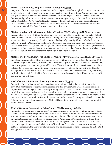#### Minister w/o Portfolio, "Digital Minister", Audrey Tang (唐鳳)

20

Responsible for ensuring the government has modern, digital channels through which it can communicate with its citizens— both spreading information and receiving input from citizens. Audrey Tang is an openly transgender software engineer and hacker who is known as the "Digital Minister." She is a self-taught Internet prodigy who, after retiring from her own startup company at age 33, became the youngest minister in the cabinet at age 35. As "Digital Minister" she runs vTaiwan and Join, two open-source platforms for government consultation, and works closely with the hackers of g0v, a transparency of information community cofounded by Tang during the Sunflower Movement.

**Minister w/o Portfolio, Governor of Taiwan Province, Wu Tze-cheng (吳澤成):** Wu is currently the appointed governor of Taiwan Province, a mostly rural area which comprises approximately 69% of the ROC's land area and 31% of its population. Although Wu's position is largely ceremonial, he can still attempt to influence the county officials below him. Perhaps of greater significance, Wu also heads the Public Construction Commission, an Executive Yuan body that plans and supervises public construction projects such as highways, roads, and bridges. Wu holds a master's degree in construction engineering and management from National Central University, and previously served as Deputy-Magistrate of Yilan county under Lin Tsung-hsien, the current Minister of Agriculture, from 2009 to 2017.

**Minister w/o Portfolio, Mayor of Taipei, Ko Wen-je (柯文哲):** Ko is the elected leader of Taipei, the capital and the economic, political, and cultural center of Taiwan and the homeplace of more than 1/10th of Taiwan's population. As mayor, he is not only the face of Taipei, but also the head of a government that, in many respects, acts as a municipal-level Executive Yuan with various departments implementing local policies. Before becoming mayor, Ko was a renowned surgeon at National Taiwan University Hospital and a professor at National Taiwan University College of Medicine. Ko is a close friend with James Soong, the leader of the small People's First Party, and it has been heavily speculated that Ko might make a 2020 presidential run with him.

#### Head of Ocean Affairs Council, Hwung Hwung-hweng (黃煌煇)

Responsible for coordinating and implementing marine-related policies, the council, founded in early 2018, has three major organizational components. The first, the Coast Guard Administration, is responsible for enforcing maritime law and patrolling Taiwan's coasts. The second, the Ocean Conservation Administration, is responsible for marine ecological conservation and sustainable management of marine resources. The third, the National Ocean Research Institute, is responsible for maritime-related research and maritime education outreach. Before heading the Ocean Affairs Council, Hwung served as chairman of the Aviation Safety Council and as president of National Cheng Kung University, a top-ranking university in South- Western Taiwan.

#### Head of Overseas Community Affairs Council, Wu Hsin-hsing (吳新興)

Responsible for acting as a bridge between Taiwan and overseas communities of Taiwanese and Chinese descent, OCAS runs various programs not just to educate and assist the Taiwanese/Chinese diaspora, but also to attract talent and resources from the diaspora to Taiwan. The council runs various service centers throughout Asia, as well as in Europe, North and South America, and Oceania, from which they keep in contact with local diaspora communities. Before becoming head of OCAS, Wu Hsin-hsing earned a bachelor's degree in international relations from New Mexico State University and a doctorate degree in political science from the University of Melbourne, and he also served as head of a special delegation to the Philippines from 2003 to 2008.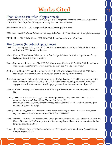# **Works Cited**

### Photo Sources (in order of appearance):

Geographical map; *ROC Yearbook 2016: Geography and Demography.* Executive Yuan of the Republic of China. 2016, Web. https://english.ey.gov.tw/cp.aspx?n=1082F2A7077508A4

Political map; https://www.ilovemaps.co.uk/products/taiwan-political-map

KMT Emblem; *KMT Official Website.* Kuomintang. 2018, Web. http://www1.kmt.org.tw/english/index.aspx

DPP Emblem; *DPP Official Website.* DPP. 2018, Web. https://www.dpp.org.tw/en/about

# Text Sources (in order of appearance):

- 1999 Taiwan earthquake. *History.com.* 2018, Web. https://www.history.com/topics/natural-disasters-andenvironment/1999-taiwan-earthquake
- Albert, Eleanor. China-Taiwan Relations. *Council on Foreign Relations.* 2018, Web. https://www.cfr.org/ backgrounder/china-taiwan-relations
- Bakery Boycott over Taiwan Issue: The 85°C Cafe Controversy. *What's on Weibo.* 2018, Web. https://www. whatsonweibo.com/bakery-boycott-over-taiwan-issue-the-85c-cafe-controversy/
- Berlinger, J. & Hunt, K. With option to rule for life, China's Xi sets sights on Taiwan. *CNN.* 2018, Web. https://www.cnn.com/2018/03/20/asia/taiwan-china-xi-jinping-intl/index.html
- Bush, R. & Marston, H. Opinion: Taiwan's engagement with Southeast Asia is making progress under the New Southbound Policy. Brookings. 2018, Web. https://www.brookings.edu/opinions/taiwansengagement-with-southeast-asia-is-making-progress-under-the-new-southbound-policy/
- Chen Shui-bian. Encyclopaedia Britannica. 2018, Web. https://www.britannica.com/biography/Chen-Shuibian
- Chung, Lawrence. He's back: Ma Ying-jeou rebuilds his popularity might another run for Taiwan's presidency be in store? *South China Morning Post*. 2018, Web. https://www.scmp.com/news/china/diplomacy-defence/article/2144825/hes-back-ma-ying-jeourebuilds-his-popularity-might
- Chung, Li-hua & Pan, Jason. KMT is again 'world's richest party'. *Taipei Times.* 2014, Web. http://www. taipeitimes.com/News/taiwan/archives/2014/07/24/2003595820
- Cole, J. Michael. The Third Taiwan Strait Crisis: The Forgotten Showdown Between China and America. *The National Interest.* 2017, Web. https://nationalinterest.org/feature/the-third-taiwan-strait-crisis-theforgotten-showdown-19742
- Copper, John. Taiwan. *Encyclopaedia Britannica*. 2018, Web. https://www.britannica.com/place/Taiwan/ Cultural-life#ref337517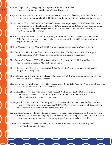Croizier, Ralph. Zheng Chenggong. *Encyclopaedia Britannica.* 2018, Web. https://www.britannica.com/biography/Zheng-Chenggong

22

- Culpan, Tim. Now Maybe Taiwan Will Take Cybersecurity Seriously. *Bloomberg*. 2018, Web. https://www. bloomberg.com/view/articles/2018-08-06/now-maybe-taiwan-will-take-cybersecurity-seriously
- Denyer, Simon. Taiwan battles a brain drain as China aims to woo young talent. *Washington Post.* 2018, Web. https://www.washingtonpost.com/world/asia\_pacific/taiwan-battles-a-brain-drain-as-chinaaims-to-woo-young-talent-away/2018/04/13/338d096e-3940-11e8-af3c-2123715f78df\_story. html?utm\_term=.fbb220f7f643
- Grunzweig, Josh. Comnie Continues to Target Organizations in East Asia. *Paloalto Networks Unit 42*. 2018, Web. https://researchcenter.paloaltonetworks.com/2018/01/unit42-comnie-continues-targetorganizations-east-asia/

History. *Ministry of Foreign Affairs, ROC.* 2017, Web. https://www.taiwan.gov.tw/content\_3.php

- Hoe, Brian. Brian Hoe: The Sunflower Movement, 4 Years Later. The Diplomat. 2018, Web. https:// thediplomat.com/2018/07/brian-hioe-the-sunflower-movement-4-years-later/
- Hoe, Brian. What Was the CSSTA? *New Bloom Magazine: Daybreak.* 2017, Web. https://daybreak. newbloommag.net/2017/07/20/what-was-the-cssta/
- Hollar, Sherman. Ma Ying-jeou. *Encyclopaedia Britannica.* 2018, Web. https://www.britannica.com/ biography/Ma-Ying-jeou
- How to Remember Koxinga: Contested Legacy. *The Economist.* 2012, Web. https://www.economist.com/ analects/2012/07/27/contested-legacy
- Hsu, Stacy. Ties cut with Beijing— wooed El Salvador. *Taipei Times.* 2018, Web. http://www.taipeitimes.com/ News/front/archives/2018/08/22/2003698956
- INFOGRAPHIC: Get to Know Taiwan's 680,000 Migrant Workers. *One-Forty.* 2018, Web. https:// international.thenewslens.com/article/102510?utm\_source=2016IndexHot&utm\_ medium=internal&utm\_campaign=hot\_post
- Jennings, Ralph. China Looks To Chip Away At Taiwan's Semiconductor Dominance. *Forbes*. 2017, Web. https://www.forbes.com/sites/ralphjennings/2017/11/09/an-upstart-upstream-high-tech-sector-inchina-threatens-now-dominant-taiwan/#575d9c2b5930
- Kastner, Scott. China-U.S.-Taiwan relations ar in choppy waters. Here's what's going on. *Washington Post.* 2018, Web. https://www.washingtonpost.com/news/monkey-cage/wp/2018/04/30/china-u-s-taiwanrelations-are-in-choppy-waters-heres-whats-going-on/?utm\_term=.eb07679a52d0
- Kucha, G. & Llewellyn, J. The Guomindang. *Alpha History.* 2018, Web. https://alphahistory.com/ chineserevolution/guomindang/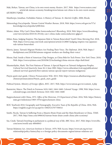Mak, Robyn. Taiwan, not China, is its own worst enemy. *Reuters.* 2017, Web. https://www.reuters.com/ article/uk-taiwan-economy-breakingviews/taiwan-not-china-is-its-own-worst-enemyidUSKBN17Q0QL

23

Manthorpe, Jonathan. Forbidden Nation: A History of Taiwan. *St. Martin's Griffin*. 2008, Ebook.

- Meteorology Encyclopedia. *Taiwan Central Weather Bureau.* 2018, Web. https://www.cwb.gov.tw/V7e/ knowledge/encyclopedia/ty000.htm
- Minter, Adam. Why Can't China Make Semiconductors? *Bloomberg.* 2018, Web. https://www.bloomberg. com/view/articles/2018-04-29/why-can-t-china-make-semiconductors-jglgice5
- Mitter, Rana. Judging Empires: Was Japanese Rule in Taiwan Benevolent? *South China Morning Post.* 2018, Web. https://www.scmp.com/week-asia/opinion/article/2128067/judging-empires-was-japaneserule-taiwan-benevolent
- Morris, James. Taiwan's Migrant Workers Are Finding Their Voice. *The Diplomat.* 2018, Web. https:// thediplomat.com/2018/06/taiwans-migrant-workers-are-finding-their-voice/
- Mozur, Paul. Inside a Heist of American Chip Designs, as China Bids for Tech Power. *New York Times.* 2018, Web. https://www.nytimes.com/2018/06/22/technology/china-micron-chips-theft.html
- Munsterhjelm, Mark. The First Nations of Taiwan: A Special Report on Taiwan's Indigenous Peoples. *Cultural Survival Quarterly,* Issue 26-2, June 2002. https://www.culturalsurvival.org/publications/ cultural-survival-quarterly/first-nations-taiwan-special-report-taiwans-indigenous
- Pinyin quick start guide. *Chinese Pronunciation Wiki.* 2015, Web. https://resources.allsetlearning.com/ chinese/pronunciation/Pinyin\_quick\_start\_guide
- Political System. *Ministry of Foreign Affairs, ROC.* 2017, Web. https://www.taiwan.gov.tw/content\_4.php
- Ramierini, Marco. The Dutch in Formosa 1624-1662, 1664-1668. *Colonial Voyage.* 1998, Web. https://www. colonialvoyage.com/dutch-formosa-1624-1662-1664-1668/
- Rapprochement with China, 1972. *Office of the Historian, US Department of State*. 2016, Web. https://history. state.gov/milestones/1969-1976/rapprochement-china
- ROC Yearbook 2016: Geography and Demography. *Executive Yuan of the Republic of China.* 2016, Web. https://english.ey.gov.tw/cp.aspx?n=1082F2A7077508A4
- Smith, Nicola. Taiwan Is Suffering From a Massive Brain Drain and the Main Beneficiary is China. *TIME*. 2017, Web. http://time.com/4906162/taiwan-brain-drain-youth-china-jobs-economy/
- Sui, Cindy. Taiwan's brawling in parliament is a political way of life. *BBC News.* 2017, Web. https://www.bbc. com/news/world-asia-40640043
- Taiwan Relations Act. *American Institute in Taiwan*. 1979, Web Access. https://www.ait.org.tw/ourrelationship/policy-history/key-u-s-foreign-policy-documents-region/taiwan-relations-act/